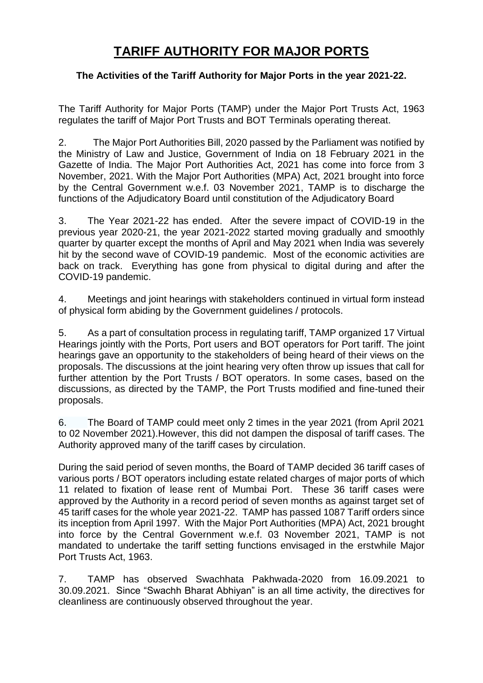## **TARIFF AUTHORITY FOR MAJOR PORTS**

## **The Activities of the Tariff Authority for Major Ports in the year 2021-22.**

The Tariff Authority for Major Ports (TAMP) under the Major Port Trusts Act, 1963 regulates the tariff of Major Port Trusts and BOT Terminals operating thereat.

2. The Major Port Authorities Bill, 2020 passed by the Parliament was notified by the Ministry of Law and Justice, Government of India on 18 February 2021 in the Gazette of India. The Major Port Authorities Act, 2021 has come into force from 3 November, 2021. With the Major Port Authorities (MPA) Act, 2021 brought into force by the Central Government w.e.f. 03 November 2021, TAMP is to discharge the functions of the Adjudicatory Board until constitution of the Adjudicatory Board

3. The Year 2021-22 has ended. After the severe impact of COVID-19 in the previous year 2020-21, the year 2021-2022 started moving gradually and smoothly quarter by quarter except the months of April and May 2021 when India was severely hit by the second wave of COVID-19 pandemic. Most of the economic activities are back on track. Everything has gone from physical to digital during and after the COVID-19 pandemic.

4. Meetings and joint hearings with stakeholders continued in virtual form instead of physical form abiding by the Government guidelines / protocols.

5. As a part of consultation process in regulating tariff, TAMP organized 17 Virtual Hearings jointly with the Ports, Port users and BOT operators for Port tariff. The joint hearings gave an opportunity to the stakeholders of being heard of their views on the proposals. The discussions at the joint hearing very often throw up issues that call for further attention by the Port Trusts / BOT operators. In some cases, based on the discussions, as directed by the TAMP, the Port Trusts modified and fine-tuned their proposals.

6. The Board of TAMP could meet only 2 times in the year 2021 (from April 2021 to 02 November 2021).However, this did not dampen the disposal of tariff cases. The Authority approved many of the tariff cases by circulation.

During the said period of seven months, the Board of TAMP decided 36 tariff cases of various ports / BOT operators including estate related charges of major ports of which 11 related to fixation of lease rent of Mumbai Port. These 36 tariff cases were approved by the Authority in a record period of seven months as against target set of 45 tariff cases for the whole year 2021-22. TAMP has passed 1087 Tariff orders since its inception from April 1997. With the Major Port Authorities (MPA) Act, 2021 brought into force by the Central Government w.e.f. 03 November 2021, TAMP is not mandated to undertake the tariff setting functions envisaged in the erstwhile Major Port Trusts Act, 1963.

7. TAMP has observed Swachhata Pakhwada-2020 from 16.09.2021 to 30.09.2021. Since "Swachh Bharat Abhiyan" is an all time activity, the directives for cleanliness are continuously observed throughout the year.